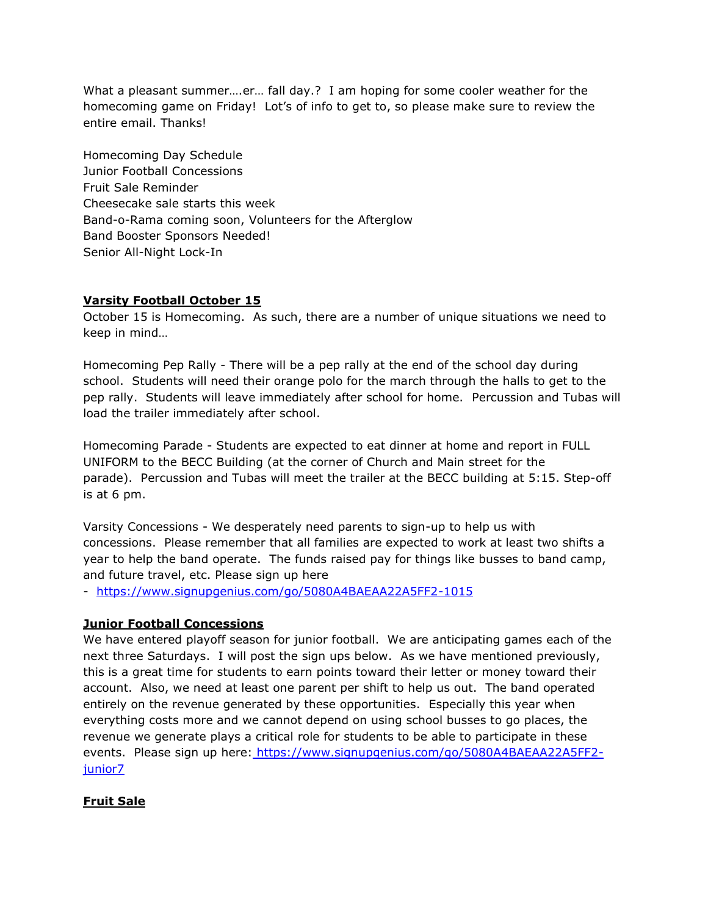What a pleasant summer….er… fall day.? I am hoping for some cooler weather for the homecoming game on Friday! Lot's of info to get to, so please make sure to review the entire email. Thanks!

Homecoming Day Schedule Junior Football Concessions Fruit Sale Reminder Cheesecake sale starts this week Band-o-Rama coming soon, Volunteers for the Afterglow Band Booster Sponsors Needed! Senior All-Night Lock-In

# **Varsity Football October 15**

October 15 is Homecoming. As such, there are a number of unique situations we need to keep in mind…

Homecoming Pep Rally - There will be a pep rally at the end of the school day during school. Students will need their orange polo for the march through the halls to get to the pep rally. Students will leave immediately after school for home. Percussion and Tubas will load the trailer immediately after school.

Homecoming Parade - Students are expected to eat dinner at home and report in FULL UNIFORM to the BECC Building (at the corner of Church and Main street for the parade). Percussion and Tubas will meet the trailer at the BECC building at 5:15. Step-off is at 6 pm.

Varsity Concessions - We desperately need parents to sign-up to help us with concessions. Please remember that all families are expected to work at least two shifts a year to help the band operate. The funds raised pay for things like busses to band camp, and future travel, etc. Please sign up here

- <https://www.signupgenius.com/go/5080A4BAEAA22A5FF2-1015>

## **Junior Football Concessions**

We have entered playoff season for junior football. We are anticipating games each of the next three Saturdays. I will post the sign ups below. As we have mentioned previously, this is a great time for students to earn points toward their letter or money toward their account. Also, we need at least one parent per shift to help us out. The band operated entirely on the revenue generated by these opportunities. Especially this year when everything costs more and we cannot depend on using school busses to go places, the revenue we generate plays a critical role for students to be able to participate in these events. Please sign up here: [https://www.signupgenius.com/go/5080A4BAEAA22A5FF2](https://www.signupgenius.com/go/5080A4BAEAA22A5FF2-junior7) [junior7](https://www.signupgenius.com/go/5080A4BAEAA22A5FF2-junior7)

## **Fruit Sale**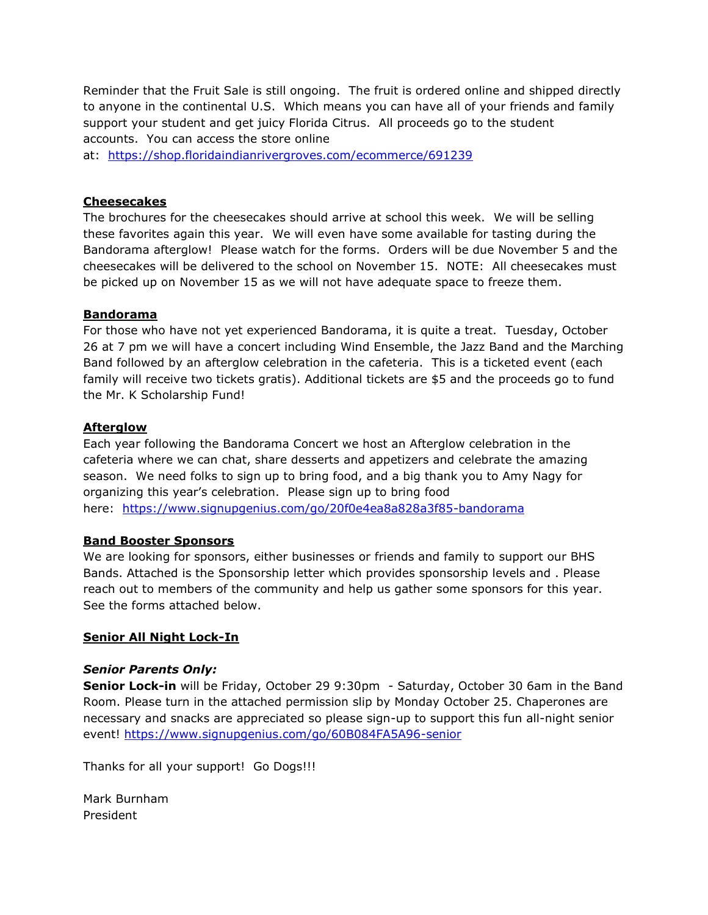Reminder that the Fruit Sale is still ongoing. The fruit is ordered online and shipped directly to anyone in the continental U.S. Which means you can have all of your friends and family support your student and get juicy Florida Citrus. All proceeds go to the student accounts. You can access the store online

at: <https://shop.floridaindianrivergroves.com/ecommerce/691239>

## **Cheesecakes**

The brochures for the cheesecakes should arrive at school this week. We will be selling these favorites again this year. We will even have some available for tasting during the Bandorama afterglow! Please watch for the forms. Orders will be due November 5 and the cheesecakes will be delivered to the school on November 15. NOTE: All cheesecakes must be picked up on November 15 as we will not have adequate space to freeze them.

#### **Bandorama**

For those who have not yet experienced Bandorama, it is quite a treat. Tuesday, October 26 at 7 pm we will have a concert including Wind Ensemble, the Jazz Band and the Marching Band followed by an afterglow celebration in the cafeteria. This is a ticketed event (each family will receive two tickets gratis). Additional tickets are \$5 and the proceeds go to fund the Mr. K Scholarship Fund!

#### **Afterglow**

Each year following the Bandorama Concert we host an Afterglow celebration in the cafeteria where we can chat, share desserts and appetizers and celebrate the amazing season. We need folks to sign up to bring food, and a big thank you to Amy Nagy for organizing this year's celebration. Please sign up to bring food here: <https://www.signupgenius.com/go/20f0e4ea8a828a3f85-bandorama>

## **Band Booster Sponsors**

We are looking for sponsors, either businesses or friends and family to support our BHS Bands. Attached is the Sponsorship letter which provides sponsorship levels and . Please reach out to members of the community and help us gather some sponsors for this year. See the forms attached below.

## **Senior All Night Lock-In**

## *Senior Parents Only:*

**Senior Lock-in** will be Friday, October 29 9:30pm - Saturday, October 30 6am in the Band Room. Please turn in the attached permission slip by Monday October 25. Chaperones are necessary and snacks are appreciated so please sign-up to support this fun all-night senior event! <https://www.signupgenius.com/go/60B084FA5A96-senior>

Thanks for all your support! Go Dogs!!!

Mark Burnham President